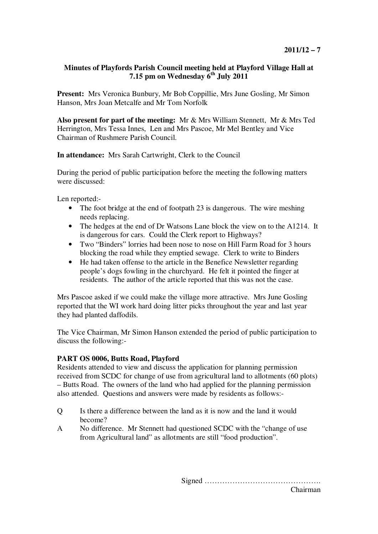## **Minutes of Playfords Parish Council meeting held at Playford Village Hall at 7.15 pm on Wednesday 6th July 2011**

**Present:** Mrs Veronica Bunbury, Mr Bob Coppillie, Mrs June Gosling, Mr Simon Hanson, Mrs Joan Metcalfe and Mr Tom Norfolk

**Also present for part of the meeting:** Mr & Mrs William Stennett, Mr & Mrs Ted Herrington, Mrs Tessa Innes, Len and Mrs Pascoe, Mr Mel Bentley and Vice Chairman of Rushmere Parish Council.

**In attendance:** Mrs Sarah Cartwright, Clerk to the Council

During the period of public participation before the meeting the following matters were discussed:

Len reported:-

- The foot bridge at the end of footpath 23 is dangerous. The wire meshing needs replacing.
- The hedges at the end of Dr Watsons Lane block the view on to the A1214. It is dangerous for cars. Could the Clerk report to Highways?
- Two "Binders" lorries had been nose to nose on Hill Farm Road for 3 hours blocking the road while they emptied sewage. Clerk to write to Binders
- He had taken offense to the article in the Benefice Newsletter regarding people's dogs fowling in the churchyard. He felt it pointed the finger at residents. The author of the article reported that this was not the case.

Mrs Pascoe asked if we could make the village more attractive. Mrs June Gosling reported that the WI work hard doing litter picks throughout the year and last year they had planted daffodils.

The Vice Chairman, Mr Simon Hanson extended the period of public participation to discuss the following:-

## **PART OS 0006, Butts Road, Playford**

Residents attended to view and discuss the application for planning permission received from SCDC for change of use from agricultural land to allotments (60 plots) – Butts Road. The owners of the land who had applied for the planning permission also attended. Questions and answers were made by residents as follows:-

- Q Is there a difference between the land as it is now and the land it would become?
- A No difference. Mr Stennett had questioned SCDC with the "change of use from Agricultural land" as allotments are still "food production".

Signed ……………………………………….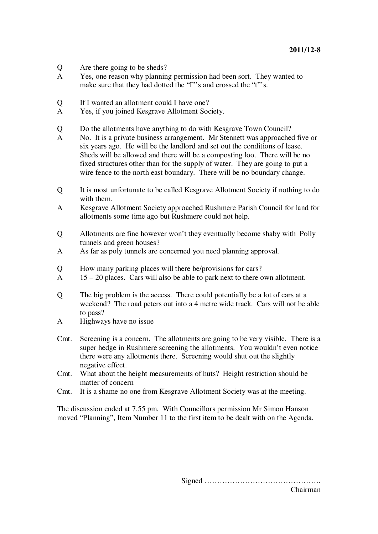- Q Are there going to be sheds?<br>A Yes one reason why plannin
- Yes, one reason why planning permission had been sort. They wanted to make sure that they had dotted the "I"'s and crossed the "t"'s.
- Q If I wanted an allotment could I have one?
- A Yes, if you joined Kesgrave Allotment Society.
- Q Do the allotments have anything to do with Kesgrave Town Council?
- A No. It is a private business arrangement. Mr Stennett was approached five or six years ago. He will be the landlord and set out the conditions of lease. Sheds will be allowed and there will be a composting loo. There will be no fixed structures other than for the supply of water. They are going to put a wire fence to the north east boundary. There will be no boundary change.
- Q It is most unfortunate to be called Kesgrave Allotment Society if nothing to do with them.
- A Kesgrave Allotment Society approached Rushmere Parish Council for land for allotments some time ago but Rushmere could not help.
- Q Allotments are fine however won't they eventually become shaby with Polly tunnels and green houses?
- A As far as poly tunnels are concerned you need planning approval.
- Q How many parking places will there be/provisions for cars?
- A 15 20 places. Cars will also be able to park next to there own allotment.
- Q The big problem is the access. There could potentially be a lot of cars at a weekend? The road peters out into a 4 metre wide track. Cars will not be able to pass?
- A Highways have no issue
- Cmt. Screening is a concern. The allotments are going to be very visible. There is a super hedge in Rushmere screening the allotments. You wouldn't even notice there were any allotments there. Screening would shut out the slightly negative effect.
- Cmt. What about the height measurements of huts? Height restriction should be matter of concern
- Cmt. It is a shame no one from Kesgrave Allotment Society was at the meeting.

The discussion ended at 7.55 pm. With Councillors permission Mr Simon Hanson moved "Planning", Item Number 11 to the first item to be dealt with on the Agenda.

> Signed ………………………………………. Chairman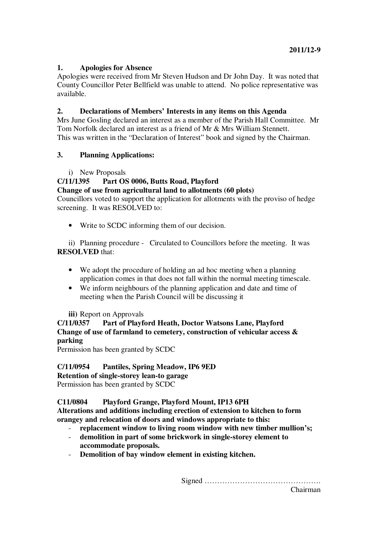# **1. Apologies for Absence**

Apologies were received from Mr Steven Hudson and Dr John Day. It was noted that County Councillor Peter Bellfield was unable to attend. No police representative was available.

# **2. Declarations of Members' Interests in any items on this Agenda**

Mrs June Gosling declared an interest as a member of the Parish Hall Committee. Mr Tom Norfolk declared an interest as a friend of Mr & Mrs William Stennett. This was written in the "Declaration of Interest" book and signed by the Chairman.

# **3. Planning Applications:**

i) New Proposals

# **C/11/1395 Part OS 0006, Butts Road, Playford**

**Change of use from agricultural land to allotments (60 plots)** 

Councillors voted to support the application for allotments with the proviso of hedge screening. It was RESOLVED to:

• Write to SCDC informing them of our decision.

ii) Planning procedure - Circulated to Councillors before the meeting. It was **RESOLVED** that:

- We adopt the procedure of holding an ad hoc meeting when a planning application comes in that does not fall within the normal meeting timescale.
- We inform neighbours of the planning application and date and time of meeting when the Parish Council will be discussing it

## **iii)** Report on Approvals

# **C/11/0357 Part of Playford Heath, Doctor Watsons Lane, Playford Change of use of farmland to cemetery, construction of vehicular access & parking**

Permission has been granted by SCDC

# **C/11/0954 Pantiles, Spring Meadow, IP6 9ED**

**Retention of single-storey lean-to garage** 

Permission has been granted by SCDC

## **C11/0804 Playford Grange, Playford Mount, IP13 6PH**

**Alterations and additions including erection of extension to kitchen to form orangey and relocation of doors and windows appropriate to this:** 

- **replacement window to living room window with new timber mullion's;**
- **demolition in part of some brickwork in single-storey element to accommodate proposals.**
- **Demolition of bay window element in existing kitchen.**

Signed ……………………………………….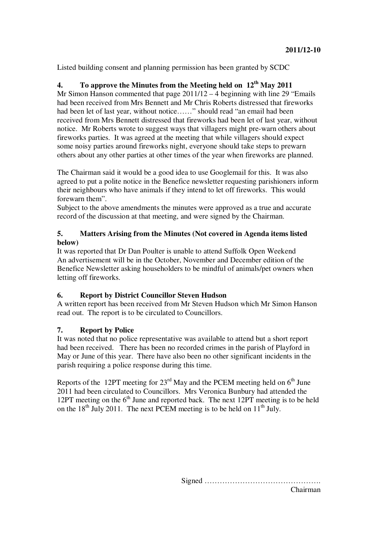Listed building consent and planning permission has been granted by SCDC

# **4. To approve the Minutes from the Meeting held on 12th May 2011**

Mr Simon Hanson commented that page 2011/12 – 4 beginning with line 29 "Emails had been received from Mrs Bennett and Mr Chris Roberts distressed that fireworks had been let of last year, without notice……" should read "an email had been received from Mrs Bennett distressed that fireworks had been let of last year, without notice. Mr Roberts wrote to suggest ways that villagers might pre-warn others about fireworks parties. It was agreed at the meeting that while villagers should expect some noisy parties around fireworks night, everyone should take steps to prewarn others about any other parties at other times of the year when fireworks are planned.

The Chairman said it would be a good idea to use Googlemail for this. It was also agreed to put a polite notice in the Benefice newsletter requesting parishioners inform their neighbours who have animals if they intend to let off fireworks. This would forewarn them".

Subject to the above amendments the minutes were approved as a true and accurate record of the discussion at that meeting, and were signed by the Chairman.

## **5. Matters Arising from the Minutes (Not covered in Agenda items listed below)**

It was reported that Dr Dan Poulter is unable to attend Suffolk Open Weekend An advertisement will be in the October, November and December edition of the Benefice Newsletter asking householders to be mindful of animals/pet owners when letting off fireworks.

## **6. Report by District Councillor Steven Hudson**

A written report has been received from Mr Steven Hudson which Mr Simon Hanson read out. The report is to be circulated to Councillors.

## **7. Report by Police**

It was noted that no police representative was available to attend but a short report had been received. There has been no recorded crimes in the parish of Playford in May or June of this year. There have also been no other significant incidents in the parish requiring a police response during this time.

Reports of the 12PT meeting for  $23^{\text{rd}}$  May and the PCEM meeting held on  $6^{\text{th}}$  June 2011 had been circulated to Councillors. Mrs Veronica Bunbury had attended the 12PT meeting on the  $6<sup>th</sup>$  June and reported back. The next 12PT meeting is to be held on the  $18<sup>th</sup>$  July 2011. The next PCEM meeting is to be held on  $11<sup>th</sup>$  July.

> Signed ………………………………………. Chairman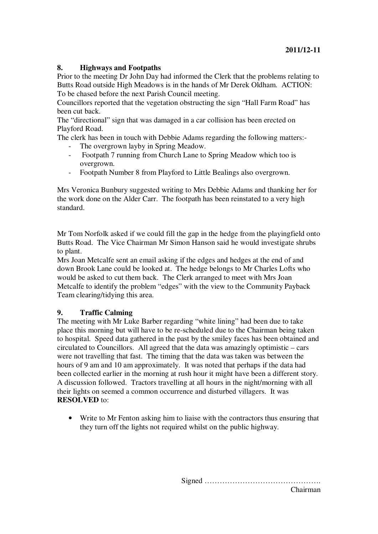## **8. Highways and Footpaths**

Prior to the meeting Dr John Day had informed the Clerk that the problems relating to Butts Road outside High Meadows is in the hands of Mr Derek Oldham. ACTION: To be chased before the next Parish Council meeting.

Councillors reported that the vegetation obstructing the sign "Hall Farm Road" has been cut back.

The "directional" sign that was damaged in a car collision has been erected on Playford Road.

The clerk has been in touch with Debbie Adams regarding the following matters:-

- The overgrown layby in Spring Meadow.
- Footpath 7 running from Church Lane to Spring Meadow which too is overgrown.
- Footpath Number 8 from Playford to Little Bealings also overgrown.

Mrs Veronica Bunbury suggested writing to Mrs Debbie Adams and thanking her for the work done on the Alder Carr. The footpath has been reinstated to a very high standard.

Mr Tom Norfolk asked if we could fill the gap in the hedge from the playingfield onto Butts Road. The Vice Chairman Mr Simon Hanson said he would investigate shrubs to plant.

Mrs Joan Metcalfe sent an email asking if the edges and hedges at the end of and down Brook Lane could be looked at. The hedge belongs to Mr Charles Lofts who would be asked to cut them back. The Clerk arranged to meet with Mrs Joan Metcalfe to identify the problem "edges" with the view to the Community Payback Team clearing/tidying this area.

## **9. Traffic Calming**

The meeting with Mr Luke Barber regarding "white lining" had been due to take place this morning but will have to be re-scheduled due to the Chairman being taken to hospital. Speed data gathered in the past by the smiley faces has been obtained and circulated to Councillors. All agreed that the data was amazingly optimistic – cars were not travelling that fast. The timing that the data was taken was between the hours of 9 am and 10 am approximately. It was noted that perhaps if the data had been collected earlier in the morning at rush hour it might have been a different story. A discussion followed. Tractors travelling at all hours in the night/morning with all their lights on seemed a common occurrence and disturbed villagers. It was **RESOLVED** to:

Write to Mr Fenton asking him to liaise with the contractors thus ensuring that they turn off the lights not required whilst on the public highway.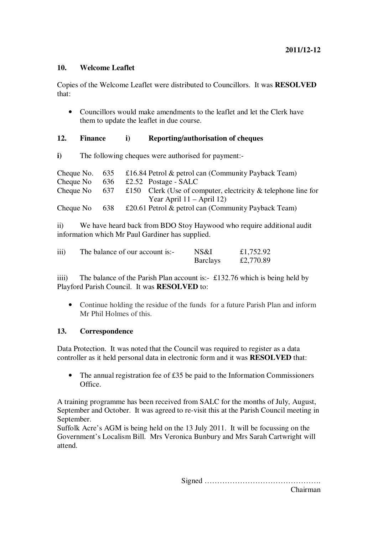#### **10. Welcome Leaflet**

Copies of the Welcome Leaflet were distributed to Councillors. It was **RESOLVED** that:

• Councillors would make amendments to the leaflet and let the Clerk have them to update the leaflet in due course.

## **12. Finance i) Reporting/authorisation of cheques**

**i)** The following cheques were authorised for payment:-

| Cheque No. $635$ |     | £16.84 Petrol $\&$ petrol can (Community Payback Team)            |
|------------------|-----|-------------------------------------------------------------------|
| Cheque No $636$  |     | £2.52 Postage - $SALC$                                            |
| Cheque No        |     | 637 £150 Clerk (Use of computer, electricity & telephone line for |
|                  |     | Year April $11 -$ April 12)                                       |
| Cheque No        | 638 | £20.61 Petrol $\&$ petrol can (Community Payback Team)            |

ii) We have heard back from BDO Stoy Haywood who require additional audit information which Mr Paul Gardiner has supplied.

| iii) | The balance of our account is:- | NS&I            | £1,752.92 |
|------|---------------------------------|-----------------|-----------|
|      |                                 | <b>Barclays</b> | £2,770.89 |

iiii) The balance of the Parish Plan account is:- £132.76 which is being held by Playford Parish Council. It was **RESOLVED** to:

• Continue holding the residue of the funds for a future Parish Plan and inform Mr Phil Holmes of this.

#### **13. Correspondence**

Data Protection. It was noted that the Council was required to register as a data controller as it held personal data in electronic form and it was **RESOLVED** that:

The annual registration fee of  $£35$  be paid to the Information Commissioners Office.

A training programme has been received from SALC for the months of July, August, September and October. It was agreed to re-visit this at the Parish Council meeting in September.

Suffolk Acre's AGM is being held on the 13 July 2011. It will be focussing on the Government's Localism Bill. Mrs Veronica Bunbury and Mrs Sarah Cartwright will attend.

Signed ……………………………………….